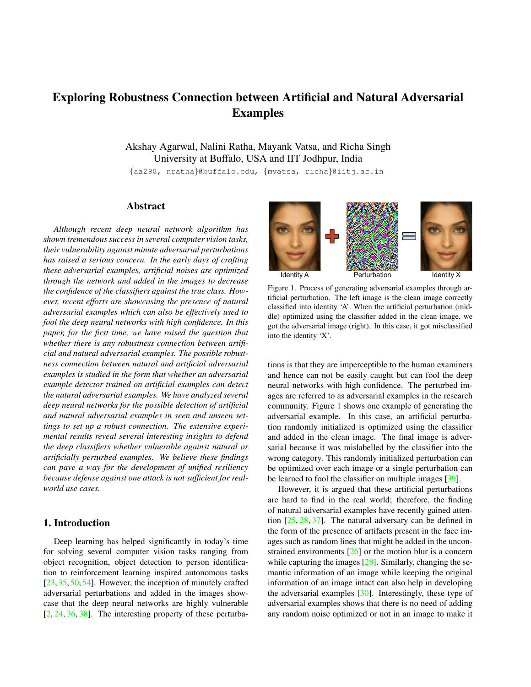# Exploring Robustness Connection between Artificial and Natural Adversarial Examples

Akshay Agarwal, Nalini Ratha, Mayank Vatsa, and Richa Singh University at Buffalo, USA and IIT Jodhpur, India

{aa298, nratha}@buffalo.edu, {mvatsa, richa}@iitj.ac.in

# Abstract

*Although recent deep neural network algorithm has shown tremendous success in several computer vision tasks, their vulnerability against minute adversarial perturbations has raised a serious concern. In the early days of crafting these adversarial examples, artificial noises are optimized through the network and added in the images to decrease the confidence of the classifiers against the true class. However, recent efforts are showcasing the presence of natural adversarial examples which can also be effectively used to fool the deep neural networks with high confidence. In this paper, for the first time, we have raised the question that whether there is any robustness connection between artificial and natural adversarial examples. The possible robustness connection between natural and artificial adversarial examples is studied in the form that whether an adversarial example detector trained on artificial examples can detect the natural adversarial examples. We have analyzed several deep neural networks for the possible detection of artificial and natural adversarial examples in seen and unseen settings to set up a robust connection. The extensive experimental results reveal several interesting insights to defend the deep classifiers whether vulnerable against natural or artificially perturbed examples. We believe these findings can pave a way for the development of unified resiliency because defense against one attack is not sufficient for realworld use cases.*

# 1. Introduction

Deep learning has helped significantly in today's time for solving several computer vision tasks ranging from object recognition, object detection to person identification to reinforcement learning inspired autonomous tasks [23, 35, 50, 54]. However, the inception of minutely crafted adversarial perturbations and added in the images showcase that the deep neural networks are highly vulnerable  $[2, 24, 36, 38]$ . The interesting property of these perturba-



Figure 1. Process of generating adversarial examples through artificial perturbation. The left image is the clean image correctly classified into identity 'A'. When the artificial perturbation (middle) optimized using the classifier added in the clean image, we got the adversarial image (right). In this case, it got misclassified into the identity 'X'.

tions is that they are imperceptible to the human examiners and hence can not be easily caught but can fool the deep neural networks with high confidence. The perturbed images are referred to as adversarial examples in the research community. Figure 1 shows one example of generating the adversarial example. In this case, an artificial perturbation randomly initialized is optimized using the classifier and added in the clean image. The final image is adversarial because it was mislabelled by the classifier into the wrong category. This randomly initialized perturbation can be optimized over each image or a single perturbation can be learned to fool the classifier on multiple images [39].

However, it is argued that these artificial perturbations are hard to find in the real world; therefore, the finding of natural adversarial examples have recently gained attention [25, 28, 37]. The natural adversary can be defined in the form of the presence of artifacts present in the face images such as random lines that might be added in the unconstrained environments [26] or the motion blur is a concern while capturing the images [28]. Similarly, changing the semantic information of an image while keeping the original information of an image intact can also help in developing the adversarial examples [30]. Interestingly, these type of adversarial examples shows that there is no need of adding any random noise optimized or not in an image to make it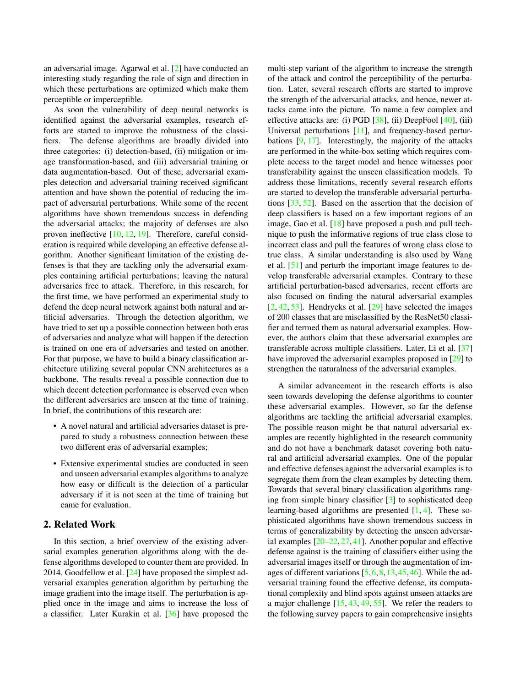an adversarial image. Agarwal et al. [2] have conducted an interesting study regarding the role of sign and direction in which these perturbations are optimized which make them perceptible or imperceptible.

As soon the vulnerability of deep neural networks is identified against the adversarial examples, research efforts are started to improve the robustness of the classifiers. The defense algorithms are broadly divided into three categories: (i) detection-based, (ii) mitigation or image transformation-based, and (iii) adversarial training or data augmentation-based. Out of these, adversarial examples detection and adversarial training received significant attention and have shown the potential of reducing the impact of adversarial perturbations. While some of the recent algorithms have shown tremendous success in defending the adversarial attacks; the majority of defenses are also proven ineffective [10, 12, 19]. Therefore, careful consideration is required while developing an effective defense algorithm. Another significant limitation of the existing defenses is that they are tackling only the adversarial examples containing artificial perturbations; leaving the natural adversaries free to attack. Therefore, in this research, for the first time, we have performed an experimental study to defend the deep neural network against both natural and artificial adversaries. Through the detection algorithm, we have tried to set up a possible connection between both eras of adversaries and analyze what will happen if the detection is trained on one era of adversaries and tested on another. For that purpose, we have to build a binary classification architecture utilizing several popular CNN architectures as a backbone. The results reveal a possible connection due to which decent detection performance is observed even when the different adversaries are unseen at the time of training. In brief, the contributions of this research are:

- A novel natural and artificial adversaries dataset is prepared to study a robustness connection between these two different eras of adversarial examples;
- Extensive experimental studies are conducted in seen and unseen adversarial examples algorithms to analyze how easy or difficult is the detection of a particular adversary if it is not seen at the time of training but came for evaluation.

# 2. Related Work

In this section, a brief overview of the existing adversarial examples generation algorithms along with the defense algorithms developed to counter them are provided. In 2014, Goodfellow et al. [24] have proposed the simplest adversarial examples generation algorithm by perturbing the image gradient into the image itself. The perturbation is applied once in the image and aims to increase the loss of a classifier. Later Kurakin et al. [36] have proposed the

multi-step variant of the algorithm to increase the strength of the attack and control the perceptibility of the perturbation. Later, several research efforts are started to improve the strength of the adversarial attacks, and hence, newer attacks came into the picture. To name a few complex and effective attacks are: (i) PGD [38], (ii) DeepFool [40], (iii) Universal perturbations [11], and frequency-based perturbations [9, 17]. Interestingly, the majority of the attacks are performed in the white-box setting which requires complete access to the target model and hence witnesses poor transferability against the unseen classification models. To address those limitations, recently several research efforts are started to develop the transferable adversarial perturbations [33, 52]. Based on the assertion that the decision of deep classifiers is based on a few important regions of an image, Gao et al. [18] have proposed a push and pull technique to push the informative regions of true class close to incorrect class and pull the features of wrong class close to true class. A similar understanding is also used by Wang et al. [51] and perturb the important image features to develop transferable adversarial examples. Contrary to these artificial perturbation-based adversaries, recent efforts are also focused on finding the natural adversarial examples  $[2, 42, 53]$ . Hendrycks et al.  $[29]$  have selected the images of 200 classes that are misclassified by the ResNet50 classifier and termed them as natural adversarial examples. However, the authors claim that these adversarial examples are transferable across multiple classifiers. Later, Li et al. [37] have improved the adversarial examples proposed in [29] to strengthen the naturalness of the adversarial examples.

A similar advancement in the research efforts is also seen towards developing the defense algorithms to counter these adversarial examples. However, so far the defense algorithms are tackling the artificial adversarial examples. The possible reason might be that natural adversarial examples are recently highlighted in the research community and do not have a benchmark dataset covering both natural and artificial adversarial examples. One of the popular and effective defenses against the adversarial examples is to segregate them from the clean examples by detecting them. Towards that several binary classification algorithms ranging from simple binary classifier [3] to sophisticated deep learning-based algorithms are presented [1, 4]. These sophisticated algorithms have shown tremendous success in terms of generalizability by detecting the unseen adversarial examples [20–22, 27, 41]. Another popular and effective defense against is the training of classifiers either using the adversarial images itself or through the augmentation of images of different variations [5,6,8,13,45,46]. While the adversarial training found the effective defense, its computational complexity and blind spots against unseen attacks are a major challenge [15, 43, 49, 55]. We refer the readers to the following survey papers to gain comprehensive insights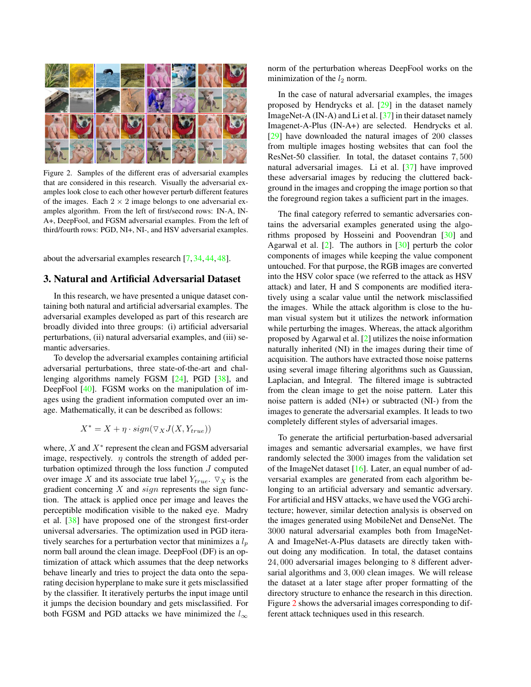

Figure 2. Samples of the different eras of adversarial examples that are considered in this research. Visually the adversarial examples look close to each other however perturb different features of the images. Each  $2 \times 2$  image belongs to one adversarial examples algorithm. From the left of first/second rows: IN-A, IN-A+, DeepFool, and FGSM adversarial examples. From the left of third/fourth rows: PGD, NI+, NI-, and HSV adversarial examples.

about the adversarial examples research [7, 34, 44, 48].

# 3. Natural and Artificial Adversarial Dataset

In this research, we have presented a unique dataset containing both natural and artificial adversarial examples. The adversarial examples developed as part of this research are broadly divided into three groups: (i) artificial adversarial perturbations, (ii) natural adversarial examples, and (iii) semantic adversaries.

To develop the adversarial examples containing artificial adversarial perturbations, three state-of-the-art and challenging algorithms namely FGSM [24], PGD [38], and DeepFool [40]. FGSM works on the manipulation of images using the gradient information computed over an image. Mathematically, it can be described as follows:

$$
X^* = X + \eta \cdot sign(\nabla_X J(X, Y_{true}))
$$

where,  $X$  and  $X^*$  represent the clean and FGSM adversarial image, respectively.  $\eta$  controls the strength of added perturbation optimized through the loss function J computed over image X and its associate true label  $Y_{true}$ .  $\nabla_X$  is the gradient concerning  $X$  and  $sign$  represents the sign function. The attack is applied once per image and leaves the perceptible modification visible to the naked eye. Madry et al. [38] have proposed one of the strongest first-order universal adversaries. The optimization used in PGD iteratively searches for a perturbation vector that minimizes a  $l_p$ norm ball around the clean image. DeepFool (DF) is an optimization of attack which assumes that the deep networks behave linearly and tries to project the data onto the separating decision hyperplane to make sure it gets misclassified by the classifier. It iteratively perturbs the input image until it jumps the decision boundary and gets misclassified. For both FGSM and PGD attacks we have minimized the  $l_{\infty}$ 

norm of the perturbation whereas DeepFool works on the minimization of the  $l_2$  norm.

In the case of natural adversarial examples, the images proposed by Hendrycks et al. [29] in the dataset namely ImageNet-A (IN-A) and Li et al.  $\left[37\right]$  in their dataset namely Imagenet-A-Plus (IN-A+) are selected. Hendrycks et al. [29] have downloaded the natural images of 200 classes from multiple images hosting websites that can fool the ResNet-50 classifier. In total, the dataset contains 7, 500 natural adversarial images. Li et al. [37] have improved these adversarial images by reducing the cluttered background in the images and cropping the image portion so that the foreground region takes a sufficient part in the images.

The final category referred to semantic adversaries contains the adversarial examples generated using the algorithms proposed by Hosseini and Poovendran [30] and Agarwal et al.  $[2]$ . The authors in  $[30]$  perturb the color components of images while keeping the value component untouched. For that purpose, the RGB images are converted into the HSV color space (we referred to the attack as HSV attack) and later, H and S components are modified iteratively using a scalar value until the network misclassified the images. While the attack algorithm is close to the human visual system but it utilizes the network information while perturbing the images. Whereas, the attack algorithm proposed by Agarwal et al. [2] utilizes the noise information naturally inherited (NI) in the images during their time of acquisition. The authors have extracted those noise patterns using several image filtering algorithms such as Gaussian, Laplacian, and Integral. The filtered image is subtracted from the clean image to get the noise pattern. Later this noise pattern is added (NI+) or subtracted (NI-) from the images to generate the adversarial examples. It leads to two completely different styles of adversarial images.

To generate the artificial perturbation-based adversarial images and semantic adversarial examples, we have first randomly selected the 3000 images from the validation set of the ImageNet dataset [16]. Later, an equal number of adversarial examples are generated from each algorithm belonging to an artificial adversary and semantic adversary. For artificial and HSV attacks, we have used the VGG architecture; however, similar detection analysis is observed on the images generated using MobileNet and DenseNet. The 3000 natural adversarial examples both from ImageNet-A and ImageNet-A-Plus datasets are directly taken without doing any modification. In total, the dataset contains 24, 000 adversarial images belonging to 8 different adversarial algorithms and 3, 000 clean images. We will release the dataset at a later stage after proper formatting of the directory structure to enhance the research in this direction. Figure 2 shows the adversarial images corresponding to different attack techniques used in this research.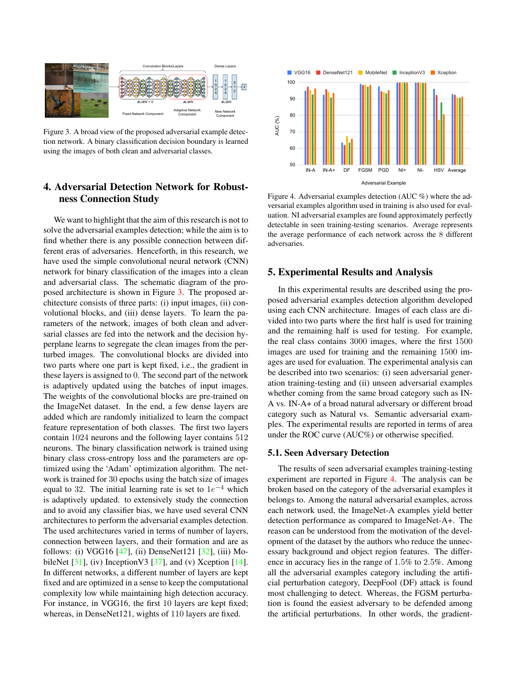

Figure 3. A broad view of the proposed adversarial example detection network. A binary classification decision boundary is learned using the images of both clean and adversarial classes.

# 4. Adversarial Detection Network for Robustness Connection Study

We want to highlight that the aim of this research is not to solve the adversarial examples detection; while the aim is to find whether there is any possible connection between different eras of adversaries. Henceforth, in this research, we have used the simple convolutional neural network (CNN) network for binary classification of the images into a clean and adversarial class. The schematic diagram of the proposed architecture is shown in Figure 3. The proposed architecture consists of three parts: (i) input images, (ii) convolutional blocks, and (iii) dense layers. To learn the parameters of the network, images of both clean and adversarial classes are fed into the network and the decision hyperplane learns to segregate the clean images from the perturbed images. The convolutional blocks are divided into two parts where one part is kept fixed, i.e., the gradient in these layers is assigned to 0. The second part of the network is adaptively updated using the batches of input images. The weights of the convolutional blocks are pre-trained on the ImageNet dataset. In the end, a few dense layers are added which are randomly initialized to learn the compact feature representation of both classes. The first two layers contain 1024 neurons and the following layer contains 512 neurons. The binary classification network is trained using binary class cross-entropy loss and the parameters are optimized using the 'Adam' optimization algorithm. The network is trained for 30 epochs using the batch size of images equal to 32. The initial learning rate is set to  $1e^{-4}$  which is adaptively updated. to extensively study the connection and to avoid any classifier bias, we have used several CNN architectures to perform the adversarial examples detection. The used architectures varied in terms of number of layers, connection between layers, and their formation and are as follows: (i) VGG16 [47], (ii) DenseNet121 [32], (iii) MobileNet  $[31]$ , (iv) InceptionV3  $[37]$ , and (v) Xception  $[14]$ . In different networks, a different number of layers are kept fixed and are optimized in a sense to keep the computational complexity low while maintaining high detection accuracy. For instance, in VGG16, the first 10 layers are kept fixed; whereas, in DenseNet121, wights of 110 layers are fixed.



Figure 4. Adversarial examples detection (AUC %) where the adversarial examples algorithm used in training is also used for evaluation. NI adversarial examples are found approximately perfectly detectable in seen training-testing scenarios. Average represents the average performance of each network across the 8 different adversaries.

### 5. Experimental Results and Analysis

In this experimental results are described using the proposed adversarial examples detection algorithm developed using each CNN architecture. Images of each class are divided into two parts where the first half is used for training and the remaining half is used for testing. For example, the real class contains 3000 images, where the first 1500 images are used for training and the remaining 1500 images are used for evaluation. The experimental analysis can be described into two scenarios: (i) seen adversarial generation training-testing and (ii) unseen adversarial examples whether coming from the same broad category such as IN-A vs. IN-A+ of a broad natural adversary or different broad category such as Natural vs. Semantic adversarial examples. The experimental results are reported in terms of area under the ROC curve (AUC%) or otherwise specified.

#### 5.1. Seen Adversary Detection

The results of seen adversarial examples training-testing experiment are reported in Figure 4. The analysis can be broken based on the category of the adversarial examples it belongs to. Among the natural adversarial examples, across each network used, the ImageNet-A examples yield better detection performance as compared to ImageNet-A+. The reason can be understood from the motivation of the development of the dataset by the authors who reduce the unnecessary background and object region features. The difference in accuracy lies in the range of 1.5% to 2.5%. Among all the adversarial examples category including the artificial perturbation category, DeepFool (DF) attack is found most challenging to detect. Whereas, the FGSM perturbation is found the easiest adversary to be defended among the artificial perturbations. In other words, the gradient-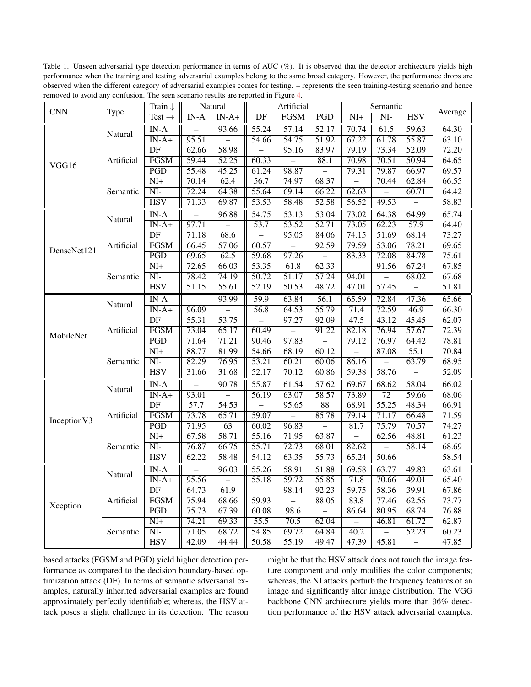Table 1. Unseen adversarial type detection performance in terms of AUC (%). It is observed that the detector architecture yields high performance when the training and testing adversarial examples belong to the same broad category. However, the performance drops are observed when the different category of adversarial examples comes for testing. – represents the seen training-testing scenario and hence removed to avoid any confusion. The seen scenario results are reported in Figure 4.

| <b>CNN</b>   | Type       | Train $\downarrow$       | Natural                  |                           | Artificial         |                    |                    | Semantic                |                        |                    |         |
|--------------|------------|--------------------------|--------------------------|---------------------------|--------------------|--------------------|--------------------|-------------------------|------------------------|--------------------|---------|
|              |            | Test $\rightarrow$       | $IN-A$                   | $\overline{\text{IN-A+}}$ | $\overline{DF}$    | <b>FGSM</b>        | $\overline{PGD}$   | $\overline{\text{NI+}}$ | $\overline{\text{NI}}$ | <b>HSV</b>         | Average |
| VGG16        | Natural    | $IN-A$                   |                          | 93.66                     | 55.24              | 57.14              | 52.17              | 70.74                   | 61.5                   | 59.63              | 64.30   |
|              |            | $IN-A+$                  | 95.51                    |                           | 54.66              | 54.75              | 51.92              | 67.22                   | 61.78                  | 55.87              | 63.10   |
|              | Artificial | $\overline{DF}$          | 62.66                    | 58.98                     |                    | 95.16              | 83.97              | 79.19                   | 73.34                  | $\overline{52.09}$ | 72.20   |
|              |            | <b>FGSM</b>              | 59.44                    | $\overline{52.25}$        | 60.33              |                    | 88.1               | 70.98                   | 70.51                  | 50.94              | 64.65   |
|              |            | $\overline{PGD}$         | $\overline{55.48}$       | 45.25                     | 61.24              | 98.87              |                    | 79.31                   | 79.87                  | 66.97              | 69.57   |
|              | Semantic   | $\overline{\text{NI+}}$  | 70.14                    | 62.4                      | 56.7               | 74.97              | 68.37              |                         | 70.44                  | 62.84              | 66.55   |
|              |            | $\overline{\text{NI}}$   | 72.24                    | 64.38                     | 55.64              | 69.14              | 66.22              | 62.63                   |                        | 60.71              | 64.42   |
|              |            | <b>HSV</b>               | 71.33                    | 69.87                     | 53.53              | 58.48              | 52.58              | 56.52                   | 49.53                  |                    | 58.83   |
| DenseNet121  | Natural    | $\overline{\text{IN-A}}$ | $\overline{\phantom{0}}$ | 96.88                     | $\overline{54.75}$ | $\overline{53.13}$ | 53.04              | 73.02                   | 64.38                  | 64.99              | 65.74   |
|              |            | $IN-A+$                  | 97.71                    |                           | $\overline{53.7}$  | $\overline{53.52}$ | 52.71              | 73.05                   | 62.23                  | 57.9               | 64.40   |
|              | Artificial | $\overline{DF}$          | 71.18                    | 68.6                      |                    | 95.05              | 84.06              | 74.15                   | 51.69                  | 68.14              | 73.27   |
|              |            | <b>FGSM</b>              | 66.45                    | 57.06                     | 60.57              |                    | 92.59              | 79.59                   | 53.06                  | 78.21              | 69.65   |
|              |            | PGD                      | 69.65                    | 62.5                      | 59.68              | 97.26              |                    | 83.33                   | 72.08                  | 84.78              | 75.61   |
|              | Semantic   | $\overline{\text{NI}+}$  | 72.65                    | 66.03                     | 53.35              | 61.8               | 62.33              |                         | 91.56                  | 67.24              | 67.85   |
|              |            | $\overline{\text{NI}}$   | 78.42                    | 74.19                     | $\overline{50.72}$ | $\overline{51.17}$ | 57.24              | 94.01                   |                        | 68.02              | 67.68   |
|              |            | <b>HSV</b>               | 51.15                    | 55.61                     | $\overline{52.19}$ | $\overline{50.53}$ | 48.72              | 47.01                   | 57.45                  |                    | 51.81   |
| MobileNet    | Natural    | $IN-A$                   |                          | 93.99                     | 59.9               | 63.84              | 56.1               | 65.59                   | 72.84                  | $\overline{47.36}$ | 65.66   |
|              |            | $IN-A+$                  | 96.09                    |                           | 56.8               | 64.53              | 55.79              | 71.4                    | 72.59                  | 46.9               | 66.30   |
|              | Artificial | $\overline{DF}$          | 55.31                    | $\overline{53.75}$        |                    | 97.27              | $\overline{92.09}$ | 47.5                    | 43.12                  | 45.45              | 62.07   |
|              |            | <b>FGSM</b>              | 73.04                    | 65.17                     | 60.49              | $\overline{a}$     | 91.22              | 82.18                   | 76.94                  | 57.67              | 72.39   |
|              |            | PGD                      | 71.64                    | 71.21                     | 90.46              | 97.83              |                    | 79.12                   | 76.97                  | 64.42              | 78.81   |
|              | Semantic   | $\overline{\text{NI+}}$  | 88.77                    | 81.99                     | 54.66              | 68.19              | 60.12              |                         | 87.08                  | 55.1               | 70.84   |
|              |            | $\overline{\text{NI}}$   | 82.29                    | 76.95                     | 53.21              | 60.21              | 60.06              | 86.16                   |                        | 63.79              | 68.95   |
|              |            | <b>HSV</b>               | 31.66                    | 31.68                     | 52.17              | 70.12              | 60.86              | 59.38                   | 58.76                  |                    | 52.09   |
| Inception V3 | Natural    | $IN-A$                   |                          | 90.78                     | 55.87              | 61.54              | $\overline{57.62}$ | 69.67                   | 68.62                  | 58.04              | 66.02   |
|              |            | $IN-A+$                  | 93.01                    |                           | $\overline{56.19}$ | 63.07              | 58.57              | 73.89                   | $\overline{72}$        | 59.66              | 68.06   |
|              | Artificial | DF                       | 57.7                     | 54.53                     |                    | 95.65              | 88                 | 68.91                   | 55.25                  | 48.34              | 66.91   |
|              |            | <b>FGSM</b>              | 73.78                    | 65.71                     | 59.07              |                    | 85.78              | 79.14                   | 71.17                  | 66.48              | 71.59   |
|              |            | PGD                      | 71.95                    | $\overline{63}$           | 60.02              | 96.83              |                    | 81.7                    | 75.79                  | 70.57              | 74.27   |
|              | Semantic   | $\overline{\text{NI+}}$  | 67.58                    | 58.71                     | 55.16              | 71.95              | 63.87              |                         | 62.56                  | 48.81              | 61.23   |
|              |            | $\overline{\text{NI}}$   | 76.87                    | 66.75                     | $\overline{55.71}$ | 72.73              | 68.01              | 82.62                   |                        | 58.14              | 68.69   |
|              |            | <b>HSV</b>               | 62.22                    | 58.48                     | $\overline{54.12}$ | 63.35              | 55.73              | 65.24                   | 50.66                  |                    | 58.54   |
| Xception     | Natural    | $IN-A$                   |                          | 96.03                     | $\overline{55.26}$ | 58.91              | 51.88              | 69.58                   | 63.77                  | 49.83              | 63.61   |
|              |            | $IN-A+$                  | 95.56                    |                           | 55.18              | $\overline{59.72}$ | 55.85              | 71.8                    | 70.66                  | 49.01              | 65.40   |
|              | Artificial | $\overline{DF}$          | 64.73                    | 61.9                      |                    | 98.14              | 92.23              | $\overline{59.75}$      | 58.36                  | 39.91              | 67.86   |
|              |            | <b>FGSM</b>              | 75.94                    | 68.66                     | $\overline{59.93}$ | $\overline{a}$     | 88.05              | 83.8                    | 77.46                  | 62.55              | 73.77   |
|              |            | PGD                      | 75.73                    | 67.39                     | 60.08              | 98.6               |                    | 86.64                   | 80.95                  | 68.74              | 76.88   |
|              | Semantic   | $N_{+}$                  | 74.21                    | 69.33                     | 55.5               | 70.5               | 62.04              |                         | 46.81                  | 61.72              | 62.87   |
|              |            | $\overline{\text{NI}}$   | 71.05                    | 68.72                     | 54.85              | 69.72              | 64.84              | 40.2                    |                        | 52.23              | 60.23   |
|              |            | <b>HSV</b>               | 42.09                    | 44.44                     | 50.58              | $\overline{55.19}$ | 49.47              | 47.39                   | 45.81                  |                    | 47.85   |

based attacks (FGSM and PGD) yield higher detection performance as compared to the decision boundary-based optimization attack (DF). In terms of semantic adversarial examples, naturally inherited adversarial examples are found approximately perfectly identifiable; whereas, the HSV attack poses a slight challenge in its detection. The reason might be that the HSV attack does not touch the image feature component and only modifies the color components; whereas, the NI attacks perturb the frequency features of an image and significantly alter image distribution. The VGG backbone CNN architecture yields more than 96% detection performance of the HSV attack adversarial examples.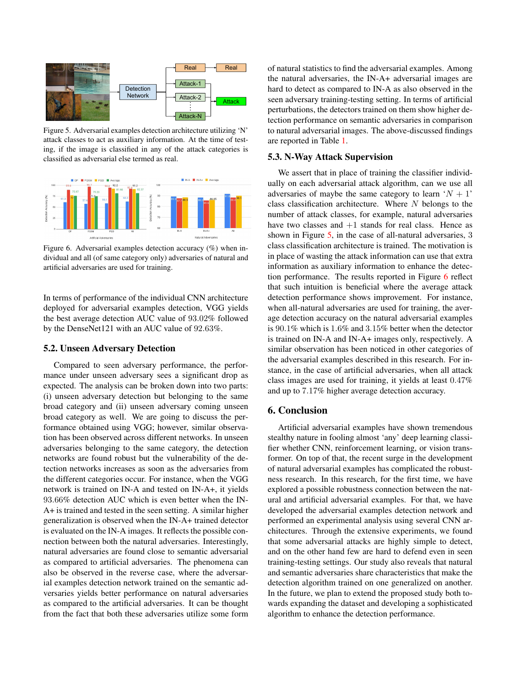

Figure 5. Adversarial examples detection architecture utilizing 'N' attack classes to act as auxiliary information. At the time of testing, if the image is classified in any of the attack categories is classified as adversarial else termed as real.



Figure 6. Adversarial examples detection accuracy (%) when individual and all (of same category only) adversaries of natural and artificial adversaries are used for training.

In terms of performance of the individual CNN architecture deployed for adversarial examples detection, VGG yields the best average detection AUC value of 93.02% followed by the DenseNet121 with an AUC value of 92.63%.

#### 5.2. Unseen Adversary Detection

Compared to seen adversary performance, the performance under unseen adversary sees a significant drop as expected. The analysis can be broken down into two parts: (i) unseen adversary detection but belonging to the same broad category and (ii) unseen adversary coming unseen broad category as well. We are going to discuss the performance obtained using VGG; however, similar observation has been observed across different networks. In unseen adversaries belonging to the same category, the detection networks are found robust but the vulnerability of the detection networks increases as soon as the adversaries from the different categories occur. For instance, when the VGG network is trained on IN-A and tested on IN-A+, it yields 93.66% detection AUC which is even better when the IN-A+ is trained and tested in the seen setting. A similar higher generalization is observed when the IN-A+ trained detector is evaluated on the IN-A images. It reflects the possible connection between both the natural adversaries. Interestingly, natural adversaries are found close to semantic adversarial as compared to artificial adversaries. The phenomena can also be observed in the reverse case, where the adversarial examples detection network trained on the semantic adversaries yields better performance on natural adversaries as compared to the artificial adversaries. It can be thought from the fact that both these adversaries utilize some form of natural statistics to find the adversarial examples. Among the natural adversaries, the IN-A+ adversarial images are hard to detect as compared to IN-A as also observed in the seen adversary training-testing setting. In terms of artificial perturbations, the detectors trained on them show higher detection performance on semantic adversaries in comparison to natural adversarial images. The above-discussed findings are reported in Table 1.

# 5.3. N-Way Attack Supervision

We assert that in place of training the classifier individually on each adversarial attack algorithm, can we use all adversaries of maybe the same category to learn  $'N + 1'$ class classification architecture. Where  $N$  belongs to the number of attack classes, for example, natural adversaries have two classes and  $+1$  stands for real class. Hence as shown in Figure 5, in the case of all-natural adversaries, 3 class classification architecture is trained. The motivation is in place of wasting the attack information can use that extra information as auxiliary information to enhance the detection performance. The results reported in Figure 6 reflect that such intuition is beneficial where the average attack detection performance shows improvement. For instance, when all-natural adversaries are used for training, the average detection accuracy on the natural adversarial examples is 90.1% which is 1.6% and 3.15% better when the detector is trained on IN-A and IN-A+ images only, respectively. A similar observation has been noticed in other categories of the adversarial examples described in this research. For instance, in the case of artificial adversaries, when all attack class images are used for training, it yields at least 0.47% and up to 7.17% higher average detection accuracy.

#### 6. Conclusion

Artificial adversarial examples have shown tremendous stealthy nature in fooling almost 'any' deep learning classifier whether CNN, reinforcement learning, or vision transformer. On top of that, the recent surge in the development of natural adversarial examples has complicated the robustness research. In this research, for the first time, we have explored a possible robustness connection between the natural and artificial adversarial examples. For that, we have developed the adversarial examples detection network and performed an experimental analysis using several CNN architectures. Through the extensive experiments, we found that some adversarial attacks are highly simple to detect, and on the other hand few are hard to defend even in seen training-testing settings. Our study also reveals that natural and semantic adversaries share characteristics that make the detection algorithm trained on one generalized on another. In the future, we plan to extend the proposed study both towards expanding the dataset and developing a sophisticated algorithm to enhance the detection performance.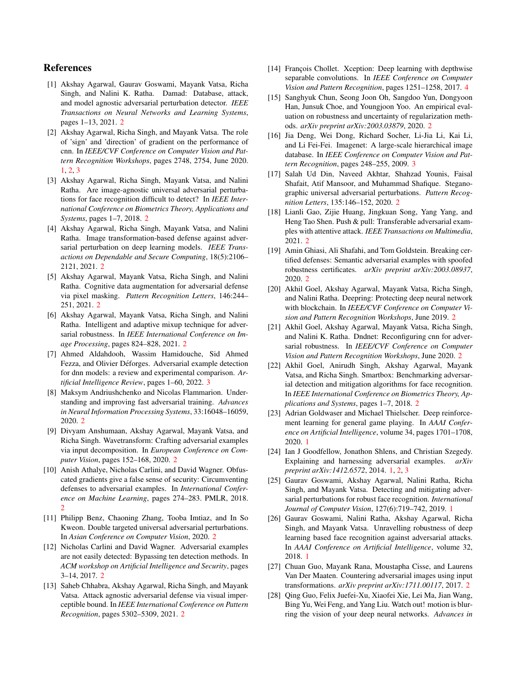# References

- [1] Akshay Agarwal, Gaurav Goswami, Mayank Vatsa, Richa Singh, and Nalini K. Ratha. Damad: Database, attack, and model agnostic adversarial perturbation detector. *IEEE Transactions on Neural Networks and Learning Systems*, pages 1–13, 2021. 2
- [2] Akshay Agarwal, Richa Singh, and Mayank Vatsa. The role of 'sign' and 'direction' of gradient on the performance of cnn. In *IEEE/CVF Conference on Computer Vision and Pattern Recognition Workshops*, pages 2748, 2754, June 2020. 1, 2, 3
- [3] Akshay Agarwal, Richa Singh, Mayank Vatsa, and Nalini Ratha. Are image-agnostic universal adversarial perturbations for face recognition difficult to detect? In *IEEE International Conference on Biometrics Theory, Applications and Systems*, pages 1–7, 2018. 2
- [4] Akshay Agarwal, Richa Singh, Mayank Vatsa, and Nalini Ratha. Image transformation-based defense against adversarial perturbation on deep learning models. *IEEE Transactions on Dependable and Secure Computing*, 18(5):2106– 2121, 2021. 2
- [5] Akshay Agarwal, Mayank Vatsa, Richa Singh, and Nalini Ratha. Cognitive data augmentation for adversarial defense via pixel masking. *Pattern Recognition Letters*, 146:244– 251, 2021. 2
- [6] Akshay Agarwal, Mayank Vatsa, Richa Singh, and Nalini Ratha. Intelligent and adaptive mixup technique for adversarial robustness. In *IEEE International Conference on Image Processing*, pages 824–828, 2021. 2
- [7] Ahmed Aldahdooh, Wassim Hamidouche, Sid Ahmed Fezza, and Olivier Déforges. Adversarial example detection for dnn models: a review and experimental comparison. *Artificial Intelligence Review*, pages 1–60, 2022. 3
- [8] Maksym Andriushchenko and Nicolas Flammarion. Understanding and improving fast adversarial training. *Advances in Neural Information Processing Systems*, 33:16048–16059, 2020. 2
- [9] Divyam Anshumaan, Akshay Agarwal, Mayank Vatsa, and Richa Singh. Wavetransform: Crafting adversarial examples via input decomposition. In *European Conference on Computer Vision*, pages 152–168, 2020. 2
- [10] Anish Athalye, Nicholas Carlini, and David Wagner. Obfuscated gradients give a false sense of security: Circumventing defenses to adversarial examples. In *International Conference on Machine Learning*, pages 274–283. PMLR, 2018. 2
- [11] Philipp Benz, Chaoning Zhang, Tooba Imtiaz, and In So Kweon. Double targeted universal adversarial perturbations. In *Asian Conference on Computer Vision*, 2020. 2
- [12] Nicholas Carlini and David Wagner. Adversarial examples are not easily detected: Bypassing ten detection methods. In *ACM workshop on Artificial Intelligence and Security*, pages 3–14, 2017. 2
- [13] Saheb Chhabra, Akshay Agarwal, Richa Singh, and Mayank Vatsa. Attack agnostic adversarial defense via visual imperceptible bound. In *IEEE International Conference on Pattern Recognition*, pages 5302–5309, 2021. 2
- [14] François Chollet. Xception: Deep learning with depthwise separable convolutions. In *IEEE Conference on Computer Vision and Pattern Recognition*, pages 1251–1258, 2017. 4
- [15] Sanghyuk Chun, Seong Joon Oh, Sangdoo Yun, Dongyoon Han, Junsuk Choe, and Youngjoon Yoo. An empirical evaluation on robustness and uncertainty of regularization methods. *arXiv preprint arXiv:2003.03879*, 2020. 2
- [16] Jia Deng, Wei Dong, Richard Socher, Li-Jia Li, Kai Li, and Li Fei-Fei. Imagenet: A large-scale hierarchical image database. In *IEEE Conference on Computer Vision and Pattern Recognition*, pages 248–255, 2009. 3
- [17] Salah Ud Din, Naveed Akhtar, Shahzad Younis, Faisal Shafait, Atif Mansoor, and Muhammad Shafique. Steganographic universal adversarial perturbations. *Pattern Recognition Letters*, 135:146–152, 2020. 2
- [18] Lianli Gao, Zijie Huang, Jingkuan Song, Yang Yang, and Heng Tao Shen. Push & pull: Transferable adversarial examples with attentive attack. *IEEE Transactions on Multimedia*, 2021. 2
- [19] Amin Ghiasi, Ali Shafahi, and Tom Goldstein. Breaking certified defenses: Semantic adversarial examples with spoofed robustness certificates. *arXiv preprint arXiv:2003.08937*, 2020. 2
- [20] Akhil Goel, Akshay Agarwal, Mayank Vatsa, Richa Singh, and Nalini Ratha. Deepring: Protecting deep neural network with blockchain. In *IEEE/CVF Conference on Computer Vision and Pattern Recognition Workshops*, June 2019. 2
- [21] Akhil Goel, Akshay Agarwal, Mayank Vatsa, Richa Singh, and Nalini K. Ratha. Dndnet: Reconfiguring cnn for adversarial robustness. In *IEEE/CVF Conference on Computer Vision and Pattern Recognition Workshops*, June 2020. 2
- [22] Akhil Goel, Anirudh Singh, Akshay Agarwal, Mayank Vatsa, and Richa Singh. Smartbox: Benchmarking adversarial detection and mitigation algorithms for face recognition. In *IEEE International Conference on Biometrics Theory, Applications and Systems*, pages 1–7, 2018. 2
- [23] Adrian Goldwaser and Michael Thielscher. Deep reinforcement learning for general game playing. In *AAAI Conference on Artificial Intelligence*, volume 34, pages 1701–1708, 2020. 1
- [24] Ian J Goodfellow, Jonathon Shlens, and Christian Szegedy. Explaining and harnessing adversarial examples. *arXiv preprint arXiv:1412.6572*, 2014. 1, 2, 3
- [25] Gaurav Goswami, Akshay Agarwal, Nalini Ratha, Richa Singh, and Mayank Vatsa. Detecting and mitigating adversarial perturbations for robust face recognition. *International Journal of Computer Vision*, 127(6):719–742, 2019. 1
- [26] Gaurav Goswami, Nalini Ratha, Akshay Agarwal, Richa Singh, and Mayank Vatsa. Unravelling robustness of deep learning based face recognition against adversarial attacks. In *AAAI Conference on Artificial Intelligence*, volume 32, 2018. 1
- [27] Chuan Guo, Mayank Rana, Moustapha Cisse, and Laurens Van Der Maaten. Countering adversarial images using input transformations. *arXiv preprint arXiv:1711.00117*, 2017. 2
- [28] Qing Guo, Felix Juefei-Xu, Xiaofei Xie, Lei Ma, Jian Wang, Bing Yu, Wei Feng, and Yang Liu. Watch out! motion is blurring the vision of your deep neural networks. *Advances in*